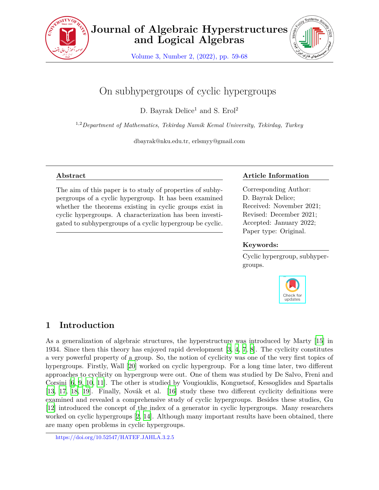

Volume 3, Number 2, (2022), pp. 59-68



# On subhypergroups of cyclic hypergroups

D. Bayrak Delice<sup>1</sup> and S.  $Erol<sup>2</sup>$ 

1,2*Department of Mathematics, Tekirdag Namik Kemal University, Tekirdag, Turkey*

dbayrak@nku.edu.tr, erlsmyy@gmail.com

## **Abstract**

The aim of this paper is to study of properties of subhypergroups of a cyclic hypergroup. It has been examined whether the theorems existing in cyclic groups exist in cyclic hypergroups. A characterization has been investigated to subhypergroups of a cyclic hypergroup be cyclic.

## **Article Information**

Corresponding Author: D. Bayrak Delice; Received: November 2021; Revised: December 2021; Accepted: January 2022; Paper type: Original.

#### **Keywords:**

Cyclic hypergroup, subhypergroups.



# **1 Introduction**

As a generalization of algebraic structures, the hyperstructure was introduced by Marty [[15\]](#page-9-0) in 1934. Since then this theory has enjoyed rapid development [[3](#page-8-0), [4](#page-8-1), [7,](#page-8-2) [8\]](#page-8-3). The cyclicity constitutes a very powerful property of a group. So, the notion of cyclicity was one of the very first topics of hypergroups. Firstly, Wall [\[20](#page-9-1)] worked on cyclic hypergroup. For a long time later, two different approaches to cyclicity on hypergroup were out. One of them was studied by De Salvo, Freni and Corsini [[6](#page-8-4), [9](#page-8-5), [10,](#page-8-6) [11\]](#page-8-7). The other is studied by Vougiouklis, Konguetsof, Kessoglides and Spartalis [[13,](#page-9-2) [17,](#page-9-3) [18](#page-9-4), [19](#page-9-5)]. Finally, Novák et al. [[16](#page-9-6)] study these two different cyclicity definitions were examined and revealed a comprehensive study of cyclic hypergroups. Besides these studies, Gu [[12\]](#page-8-8) introduced the concept of the index of a generator in cyclic hypergroups. Many researchers worked on cyclic hypergroups [\[2](#page-8-9), [14\]](#page-9-7). Although many important results have been obtained, there are many open problems in cyclic hypergroups.

https://doi.org/10.52547/HATEF.JAHLA.3.2.5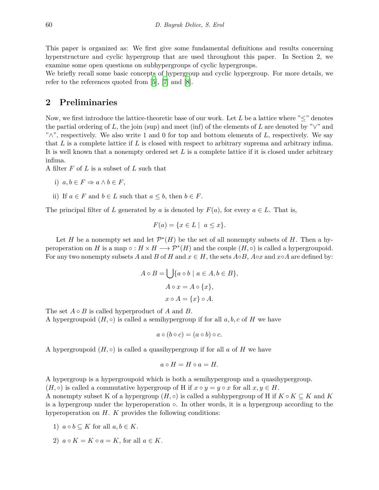This paper is organized as: We first give some fundamental definitions and results concerning hyperstructure and cyclic hypergroup that are used throughout this paper. In Section 2, we examine some open questions on subhypergroups of cyclic hypergroups.

We briefly recall some basic concepts of hypergroup and cyclic hypergroup. For more details, we refer to the references quoted from [\[5](#page-8-10)], [\[7\]](#page-8-2) and [[8](#page-8-3)].

# **2 Preliminaries**

Now, we first introduce the lattice-theoretic base of our work. Let *L* be a lattice where "*≤*" denotes the partial ordering of L, the join (sup) and meet (inf) of the elements of L are denoted by " $\vee$ " and "*∧*", respectively. We also write 1 and 0 for top and bottom elements of *L*, respectively. We say that *L* is a complete lattice if *L* is closed with respect to arbitrary suprema and arbitrary infima. It is well known that a nonempty ordered set *L* is a complete lattice if it is closed under arbitrary infima.

A filter *F* of *L* is a subset of *L* such that

i) 
$$
a, b \in F \Rightarrow a \land b \in F
$$
,

ii) If  $a \in F$  and  $b \in L$  such that  $a \leq b$ , then  $b \in F$ .

The principal filter of *L* generated by *a* is denoted by  $F(a)$ , for every  $a \in L$ . That is,

$$
F(a) = \{ x \in L \mid a \le x \}.
$$

Let *H* be a nonempty set and let  $\mathcal{P}^*(H)$  be the set of all nonempty subsets of *H*. Then a hyperoperation on *H* is a map  $\circ$  :  $H \times H \longrightarrow \mathcal{P}^*(H)$  and the couple  $(H, \circ)$  is called a hypergroupoid. For any two nonempty subsets *A* and *B* of *H* and  $x \in H$ , the sets  $A \circ B$ ,  $A \circ x$  and  $x \circ A$  are defined by:

$$
A \circ B = \bigcup \{a \circ b \mid a \in A, b \in B\},\
$$

$$
A \circ x = A \circ \{x\},\
$$

$$
x \circ A = \{x\} \circ A.
$$

The set *A ◦ B* is called hyperproduct of *A* and *B*.

A hypergroupoid  $(H, \circ)$  is called a semihypergroup if for all  $a, b, c$  of H we have

$$
a \circ (b \circ c) = (a \circ b) \circ c.
$$

A hypergroupoid  $(H, \circ)$  is called a quasihypergroup if for all *a* of *H* we have

$$
a\circ H=H\circ a=H.
$$

A hypergroup is a hypergroupoid which is both a semihypergroup and a quasihypergroup.

 $(H, \circ)$  is called a commutative hypergroup of H if  $x \circ y = y \circ x$  for all  $x, y \in H$ .

A nonempty subset K of a hypergroup  $(H, \circ)$  is called a subhypergroup of H if  $K \circ K \subseteq K$  and K is a hypergroup under the hyperoperation *◦*. In other words, it is a hypergroup according to the hyperoperation on *H*. *K* provides the following conditions:

- 1)  $a \circ b \subset K$  for all  $a, b \in K$ .
- 2)  $a \circ K = K \circ a = K$ , for all  $a \in K$ .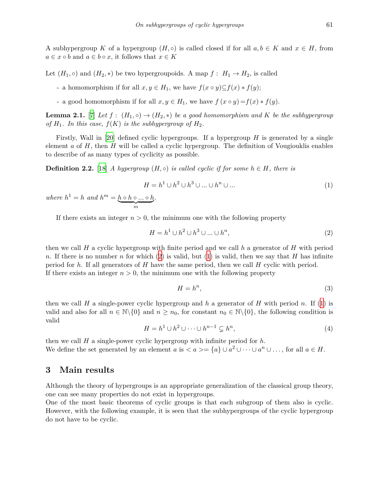A subhypergroup *K* of a hypergroup  $(H, \circ)$  is called closed if for all  $a, b \in K$  and  $x \in H$ , from  $a \in x \circ b$  and  $a \in b \circ x$ , it follows that  $x \in K$ 

Let  $(H_1, \circ)$  and  $(H_2, *)$  be two hypergroupoids. A map  $f: H_1 \to H_2$ , is called

- *►* a homomorphism if for all  $x, y \in H_1$ , we have  $f(x \circ y) \subseteq f(x) * f(y)$ ;
- a good homomorphism if for all  $x, y \in H_1$ , we have  $f(x \circ y) = f(x) * f(y)$ .

<span id="page-2-2"></span>**Lemma 2.1.** [[7](#page-8-2)] *Let*  $f : (H_1, \circ) \to (H_2, \ast)$  *be a good homomorphism and*  $K$  *be the subhypergroup of*  $H_1$ *. In this case,*  $f(K)$  *is the subhypergroup of*  $H_2$ *.* 

Firstly, Wall in [\[20\]](#page-9-1) defined cyclic hypergroups. If a hypergroup *H* is generated by a single element *a* of *H*, then *H* will be called a cyclic hypergroup. The definition of Vougiouklis enables to describe of as many types of cyclicity as possible.

<span id="page-2-1"></span>**Definition 2.2.** [[18\]](#page-9-4) *A hypergroup*  $(H, \circ)$  *is called cyclic if for some*  $h \in H$ *, there is* 

$$
H = h1 \cup h2 \cup h3 \cup \dots \cup hn \cup \dots
$$
 (1)

*where*  $h^1 = h$  *and*  $h^m = \underbrace{h \circ h \circ \dots \circ h}_{m}$ *.*

If there exists an integer  $n > 0$ , the minimum one with the following property

$$
H = h1 \cup h2 \cup h3 \cup \dots \cup hn,
$$
\n
$$
(2)
$$

then we call *H* a cyclic hypergroup with finite period and we call *h* a generator of *H* with period *n*. If there is no number *n* for which ([2](#page-2-0)) is valid, but [\(1\)](#page-2-1) is valid, then we say that *H* has infinite period for *h*. If all generators of *H* have the same period, then we call *H* cyclic with period. If there exists an integer  $n > 0$ , the minimum one with the following property

<span id="page-2-0"></span>
$$
H = h^n,\tag{3}
$$

then we call *H* a single-power cyclic hypergroup and *h* a generator of *H* with period *n*. If [\(1\)](#page-2-1) is valid and also for all  $n \in \mathbb{N}\backslash\{0\}$  and  $n \geq n_0$ , for constant  $n_0 \in \mathbb{N}\backslash\{0\}$ , the following condition is valid

$$
H = h1 \cup h2 \cup \dots \cup hn-1 \subsetneq hn,
$$
\n(4)

then we call *H* a single-power cyclic hypergroup with infinite period for *h*. We define the set generated by an element *a* is  $\langle a \rangle = \{a\} \cup a^2 \cup \cdots \cup a^n \cup \ldots$ , for all  $a \in H$ .

### **3 Main results**

Although the theory of hypergroups is an appropriate generalization of the classical group theory, one can see many properties do not exist in hypergroups.

One of the most basic theorems of cyclic groups is that each subgroup of them also is cyclic. However, with the following example, it is seen that the subhypergroups of the cyclic hypergroup do not have to be cyclic.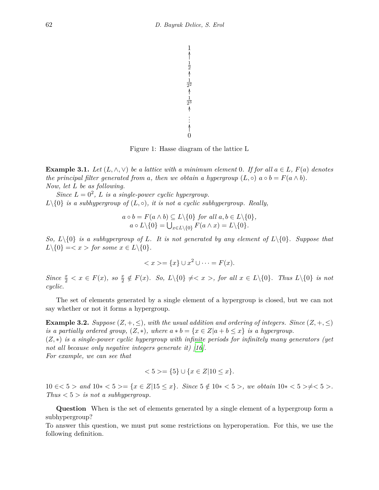

Figure 1: Hasse diagram of the lattice L

<span id="page-3-0"></span>**Example 3.1.** *Let*  $(L, \wedge, \vee)$  *be a lattice with a minimum element* 0*. If for all*  $a \in L$ *,*  $F(a)$  *denotes the principal filter generated from a*, *then we obtain a hypergroup*  $(L, \circ)$   $a \circ b = F(a \wedge b)$ . *Now, let L be as following.*

*Since*  $L = 0^2$ , *L is a single-power cyclic hypergroup.*  $L \setminus \{0\}$  *is a subhypergroup of*  $(L, \circ)$ *, it is not a cyclic subhypergroup. Really,* 

$$
a \circ b = F(a \wedge b) \subseteq L \setminus \{0\} \text{ for all } a, b \in L \setminus \{0\},
$$
  

$$
a \circ L \setminus \{0\} = \bigcup_{x \in L \setminus \{0\}} F(a \wedge x) = L \setminus \{0\}.
$$

*So,*  $L \setminus \{0\}$  *is a subhypergroup of L. It is not generated by any element of*  $L \setminus \{0\}$ *. Suppose that*  $L \setminus \{0\} = \langle x \rangle$  *for some*  $x \in L \setminus \{0\}$ *.* 

$$
\langle x \rangle = \{x\} \cup x^2 \cup \dots = F(x).
$$

Since  $\frac{x}{2} < x \in F(x)$ , so  $\frac{x}{2} \notin F(x)$ . So,  $L \setminus \{0\} \neq \infty$ , for all  $x \in L \setminus \{0\}$ . Thus  $L \setminus \{0\}$  is not *cyclic.*

The set of elements generated by a single element of a hypergroup is closed, but we can not say whether or not it forms a hypergroup.

**Example 3.2.** *Suppose* ( $Z, +, \leq$ )*, with the usual addition and ordering of integers. Since* ( $Z, +, \leq$ ) *is a partially ordered group,*  $(Z, *)$ *, where*  $a * b = \{x \in Z | a + b \leq x\}$  *is a hypergroup.* 

(*Z, ∗*) *is a single-power cyclic hypergroup with infinite periods for infinitely many generators (yet not all because only negative integers generate it) [\[16\]](#page-9-6). For example, we can see that*

$$
\langle 5 \rangle = \{5\} \cup \{x \in Z | 10 \le x\}.
$$

 $10 \leq \xi \leq 5$  and  $10 \leq \xi \leq 5$  =  $\{x \in \mathbb{Z} | 15 \leq x\}$ . Since  $5 \notin 10 \leq \xi \leq 5$ , we obtain  $10 \leq \xi \leq 5$  >  $\neq \xi \leq 5$  >. *Thus*  $\lt 5$  *> is not a subhypergroup.* 

**Question** When is the set of elements generated by a single element of a hypergroup form a subhypergroup?

To answer this question, we must put some restrictions on hyperoperation. For this, we use the following definition.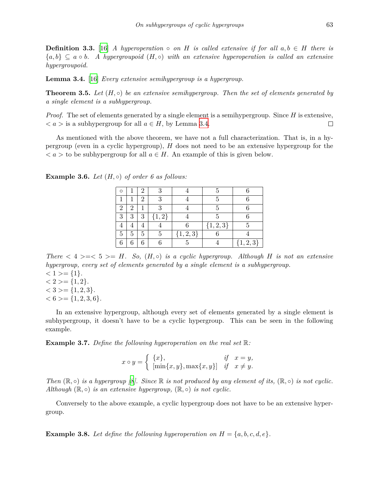**Definition 3.3.** [\[16\]](#page-9-6) *A hyperoperation*  $\circ$  *on H is called extensive if for all*  $a, b \in H$  *there is {a, b} ⊆ a ◦ b. A hypergroupoid* (*H, ◦*) *with an extensive hyperoperation is called an extensive hypergroupoid.*

<span id="page-4-0"></span>**Lemma 3.4.** [[16\]](#page-9-6) *Every extensive semihypergroup is a hypergroup.*

<span id="page-4-1"></span>**Theorem 3.5.** *Let* (*H, ◦*) *be an extensive semihypergroup. Then the set of elements generated by a single element is a subhypergroup.*

*Proof.* The set of elements generated by a single element is a semihypergroup. Since *H* is extensive,  $\langle a \rangle$  is a subhypergroup for all  $a \in H$ , by Lemma [3.4](#page-4-0).  $\Box$ 

As mentioned with the above theorem, we have not a full characterization. That is, in a hypergroup (even in a cyclic hypergroup), *H* does not need to be an extensive hypergroup for the  $a >$  to be subhypergroup for all  $a \in H$ . An example of this is given below.

| ∩              |                | 2           |      |               | 5           |               |
|----------------|----------------|-------------|------|---------------|-------------|---------------|
|                |                | 2           | 9    |               | 5           |               |
| $\overline{2}$ | $\overline{2}$ |             | 2    |               | 5           |               |
| 3              | 3              | 3           | 1, 2 |               | 5           |               |
|                |                | $\mathbf 4$ |      |               | $\{1,2,3\}$ | 5             |
| 5              | 5              | 5           | Б    | $\{1, 2, 3\}$ |             |               |
| 6              |                | 6           |      |               |             | $\{1, 2, 3\}$ |

<span id="page-4-2"></span>**Example 3.6.** *Let*  $(H, \circ)$  *of order 6 as follows:* 

*There*  $\langle 4 \rangle = \langle 5 \rangle = H$ *. So,*  $(H, \circ)$  *is a cyclic hypergroup. Although H is not an extensive hypergroup, every set of elements generated by a single element is a subhypergroup.*

 $<$  1 > = {1}*.*  $<$  2 > = {1, 2}*.*  $<$  3 > = {1, 2, 3}*.*  $< 6 > = \{1, 2, 3, 6\}.$ 

In an extensive hypergroup, although every set of elements generated by a single element is subhypergroup, it doesn't have to be a cyclic hypergroup. This can be seen in the following example.

**Example 3.7.** *Define the following hyperoperation on the real set* R*:*

$$
x \circ y = \begin{cases} \{x\}, & \text{if } x = y, \\ \left[\min\{x, y\}, \max\{x, y\}\right] & \text{if } x \neq y. \end{cases}
$$

*Then*  $(\mathbb{R}, \circ)$  *is a hypergroup* [*[8](#page-8-3)*]. Since  $\mathbb{R}$  *is not produced by any element of its,*  $(\mathbb{R}, \circ)$  *is not cyclic. Although*  $(\mathbb{R}, \circ)$  *is an extensive hypergroup,*  $(\mathbb{R}, \circ)$  *is not cyclic.* 

Conversely to the above example, a cyclic hypergroup does not have to be an extensive hypergroup.

**Example 3.8.** Let define the following hyperoperation on  $H = \{a, b, c, d, e\}$ .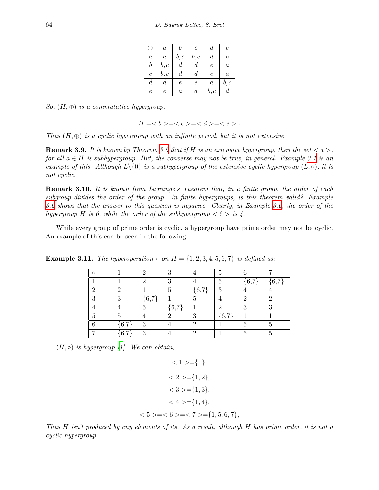|                       | $\boldsymbol{a}$ |                  | C                | $\boldsymbol{d}$ | $\epsilon$       |
|-----------------------|------------------|------------------|------------------|------------------|------------------|
| $\boldsymbol{a}$      | $\boldsymbol{a}$ | b,c              | b,c              | d                | $\epsilon$       |
| $_{b}$                | $_{b,c}$         | d                | d                | $\epsilon$       | $\boldsymbol{a}$ |
| $\mathcal{C}_{0}^{0}$ | b, c             | $\boldsymbol{d}$ | $\boldsymbol{d}$ | $\epsilon$       | $\boldsymbol{a}$ |
| $\boldsymbol{d}$      | d                | $\epsilon$       | $\epsilon$       | $\boldsymbol{a}$ | b, c             |
| $\epsilon$            | e                | $\it a$          | $\boldsymbol{a}$ | $_{b,c}$         | $\it d$          |

*So,* (*H, ⊕*) *is a commutative hypergroup.*

$$
H = >===.
$$

*Thus*  $(H, \oplus)$  *is a cyclic hypergroup with an infinite period, but it is not extensive.* 

**Remark 3.9.** *It is known by Theorem [3.5](#page-4-1) that if*  $H$  *is an extensive hypergroup, then the set*  $\langle a \rangle$ , *for all a ∈ H is subhypergroup. But, the converse may not be true, in general. Example [3.1](#page-3-0) is an example of this. Although*  $L\{0\}$  *is a subhypergroup of the extensive cyclic hypergroup*  $(L, \circ)$ *, it is not cyclic.*

**Remark 3.10.** *It is known from Lagrange's Theorem that, in a finite group, the order of each subgroup divides the order of the group. In finite hypergroups, is this theorem valid? Example [3.6](#page-4-2) shows that the answer to this question is negative. Clearly, in Example [3.6](#page-4-2), the order of the hypergroup H* is 6, while the order of the subhypergroup  $\lt 6 > i$  *is* 4.

While every group of prime order is cyclic, a hypergroup have prime order may not be cyclic. An example of this can be seen in the following.

|  | <b>Example 3.11.</b> The hyperoperation $\circ$ on $H = \{1, 2, 3, 4, 5, 6, 7\}$ is defined as: |  |  |  |
|--|-------------------------------------------------------------------------------------------------|--|--|--|
|--|-------------------------------------------------------------------------------------------------|--|--|--|

| ∩ |               | ິ   | $\mathbf{Q}$<br>U |          | 5        | հ             |    |
|---|---------------|-----|-------------------|----------|----------|---------------|----|
|   |               | ິ   | ച                 |          | 5        | $\sqrt{6}$ ,7 | 67 |
| ິ | $\mathcal{D}$ |     | 5                 | 6,7      | $\Omega$ |               |    |
| റ | 3             | 6,7 |                   | b,       |          | റ             | ິ  |
|   |               | h   | ${6,7}$           |          | റ        | 3             | റ  |
|   | 5             |     | റ                 | ച        | ${6,7}$  |               |    |
| c | 6.7           | 2   |                   | റ        |          | 5             |    |
|   | 6,7           | 2   |                   | $\Omega$ |          | 5             |    |

 $(H, \circ)$  *is hypergroup [[1](#page-8-11)]. We can obtain,* 

$$
\langle 1 \rangle = \{1\},
$$
  
\n
$$
\langle 2 \rangle = \{1, 2\},
$$
  
\n
$$
\langle 3 \rangle = \{1, 3\},
$$
  
\n
$$
\langle 4 \rangle = \{1, 4\},
$$
  
\n
$$
\langle 5 \rangle = \langle 6 \rangle = \langle 7 \rangle = \{1, 5, 6, 7\},
$$

*Thus H isn't produced by any elements of its. As a result, although H has prime order, it is not a cyclic hypergroup.*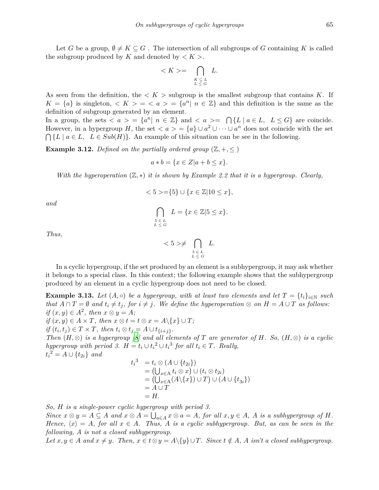Let *G* be a group,  $\emptyset \neq K \subseteq G$ . The intersection of all subgroups of *G* containing *K* is called the subgroup produced by *K* and denoted by  $\lt K$ .

$$
\langle K \rangle = \bigcap_{\substack{K \subseteq L \\ L \le G}} L.
$$

As seen from the definition, the  $\lt K$  is subgroup is the smallest subgroup that contains K. If  $K = \{a\}$  is singleton,  $K > - \langle a \rangle = \{a^n | n \in \mathbb{Z}\}\$  and this definition is the same as the definition of subgroup generated by an element.

In a group, the sets  $\langle a \rangle = \{a^n | n \in \mathbb{Z}\}\$  and  $\langle a \rangle = \bigcap \{L | a \in L, L \leq G\}\$  are coincide. However, in a hypergroup *H*, the set  $\langle a \rangle = \{a\} \cup a^2 \cup \cdots \cup a^n$  does not coincide with the set  $\bigcap \{L \mid a \in L, L \in Sub(H)\}.$  An example of this situation can be see in the following.

**Example 3.12.** Defined on the partially ordered group  $(\mathbb{Z}, +, \leq)$ 

$$
a * b = \{ x \in Z | a + b \le x \}.
$$

*With the hyperoperation* (ℤ,\*) *it is shown by Example 2.2 that it is a hypergroup. Clearly,* 

$$
\langle 5 \rangle = \{5\} \cup \{x \in \mathbb{Z} | 10 \le x\},\
$$

*and*

$$
\bigcap_{\substack{5 \in L \\ L \le G}} L = \{x \in \mathbb{Z} | 5 \le x\}.
$$

*Thus,*

$$
\langle 5 \rangle \neq \bigcap_{\substack{5 \in L \\ L \leq G}} L.
$$

In a cyclic hypergroup, if the set produced by an element is a subhypergroup, it may ask whether it belongs to a special class. In this context; the following example shows that the subhypergroup produced by an element in a cyclic hypergroup does not need to be closed.

**Example 3.13.** Let  $(A, \circ)$  be a hypergroup, with at least two elements and let  $T = \{t_i\}_{i \in \mathbb{N}}$  such that  $A \cap T = \emptyset$  and  $t_i \neq t_j$ , for  $i \neq j$ . We define the hyperoperation  $\otimes$  on  $H = A \cup T$  as follows: *if*  $(x, y)$  ∈  $A^2$ , then  $x \otimes y = A$ ;

 $if (x, y) \in A \times T$ , then  $x \otimes t = t \otimes x = A \setminus \{x\} \cup T$ ;

 $if (t_i, t_j) \in T \times T$ , then  $t_i \otimes t_j = A \cup t_{\{i+j\}}$ .

*Then*  $(H, \otimes)$  *is a hypergroup* [\[8\]](#page-8-3) and all elements of *T* are generator of *H.* So,  $(H, \otimes)$  *is a cyclic hypergroup with period 3.*  $H = t_i \cup t_i^2 \cup t_i^3$  *for all*  $t_i \in T$ *. Really,*  $t_i^2 = A \cup \{t_{2i}\}$  *and* 

$$
t_i^3 = t_i \otimes (A \cup \{t_{2i}\})
$$
  
=  $(\bigcup_{x \in A} t_i \otimes x) \cup (t_i \otimes t_{2i})$   
=  $(\bigcup_{x \in A} (A \setminus \{x\}) \cup T) \cup (A \cup \{t_{3i}\})$   
=  $A \cup T$   
=  $H$ .

*So, H is a single-power cyclic hypergroup with period 3.*

Since  $x \otimes y = A \subseteq A$  and  $x \otimes A = \bigcup_{a \in A} x \otimes a = A$ , for all  $x, y \in A$ , A is a subhypergroup of H. *Hence,*  $\langle x \rangle = A$ , for all  $x \in A$ . Thus, A is a cyclic subhypergroup. But, as can be seen in the *following, A is not a closed subhypergroup.*

Let  $x, y \in A$  and  $x \neq y$ . Then,  $x \in t \otimes y = A \setminus \{y\} \cup T$ . Since  $t \notin A$ , A isn't a closed subhypergroup.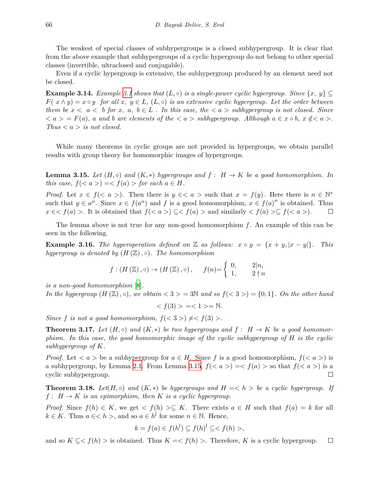The weakest of special classes of subhypergroups is a closed subhypergroup. It is clear that from the above example that subhypergroups of a cyclic hypergroup do not belong to other special classes (invertible, ultraclosed and conjugable).

Even if a cyclic hypergroup is extensive, the subhypergroup produced by an element need not be closed.

**Example [3.1](#page-3-0)4.** *Example* 3.1 *shows that*  $(L, \circ)$  *is a single-power cyclic hypergroup. Since*  $\{x, y\} \subseteq$  $F(x \wedge y) = x \circ y$  *for all*  $x, y \in L$ ,  $(L, \circ)$  *is an extensive cyclic hypergroup. Let the order between them be*  $x < a < b$  *for*  $x, a, b \in L$ . In this case, the  $\langle a >sub>subhypergroup$  is not closed. Since  $\langle a \rangle = F(a)$ , a and b are elements of the  $\langle a \rangle$  subhypergroup. Although  $a \in x \circ b$ ,  $x \notin \langle a \rangle$ . *Thus*  $\lt a > i$  *is not closed.* 

While many theorems in cyclic groups are not provided in hypergroups, we obtain parallel results with group theory for homomorphic images of hypergroups.

<span id="page-7-0"></span>**Lemma 3.15.** *Let*  $(H, \circ)$  *and*  $(K, *)$  *hypergroups and*  $f : H \to K$  *be a good homomorphism. In this case,*  $f(*a*) > f(*a*) > for each  $a \in H$ .$ 

*Proof.* Let  $x \in f(*a*)$ . Then there is  $y \in *a*$  is worth that  $x = f(y)$ . Here there is  $n \in \mathbb{N}^*$ such that  $y \in a^n$ . Since  $x \in f(a^n)$  and f is a good homomorphism,  $x \in f(a)^n$  is obtained. Thus *x* ∈ *< f*(*a*) >. It is obtained that  $f$ (*< a* >) ⊆ *< f*(*a*) > and similarly < *f*(*a*) > ⊆ *f*(*< a* >).  $\Box$ 

The lemma above is not true for any non-good homomorphism *f*. An example of this can be seen in the following.

**Example 3.16.** The hyperoperation defined on  $\mathbb{Z}$  as follows:  $x \circ y = \{x + y, |x - y|\}$ . This *hypergroup is denoted by*  $(H(\mathbb{Z}), \circ)$ *. The homomorphism* 

$$
f: (H(\mathbb{Z}), \circ) \to (H(\mathbb{Z}), \circ), \quad f(n) = \begin{cases} 0, & 2|n, \\ 1, & 2 \nmid n \end{cases}
$$

*is a non-good homomorphism* [[8](#page-8-3)]*.*

*In the hypergroup*  $(H(\mathbb{Z}), \circ)$ *, we obtain*  $\langle 3 \rangle = 3\mathbb{N}$  and so  $f(\langle 3 \rangle) = \{0, 1\}$ *. On the other hand* 

$$
\langle f(3) \rangle = \langle 1 \rangle = \mathbb{N}.
$$

*Since f is not a good homomorphism,*  $f(< 3 >) \neq f(3) >$ .

**Theorem 3.17.** *Let*  $(H, \circ)$  *and*  $(K, *)$  *be two hypergroups and*  $f : H \to K$  *be a good homomorphism. In this case, the good homomorphic image of the cyclic subhypergroup of H is the cyclic subhypergroup of K.*

*Proof.* Let  $\langle a \rangle$  be a subhypergroup for  $a \in H$ . Since f is a good homomorphism,  $f(\langle a \rangle)$  is a subhypergroup, by Lemma [2.1.](#page-2-2) From Lemma [3.15,](#page-7-0)  $f(*a*) > f(*a*) >$  so that  $f(*a*)$  is a cyclic subhypergroup.  $\Box$ 

**Theorem 3.18.** *Let*( $H, \circ$ ) *and* ( $K, *$ ) *be hypergroups and*  $H = \langle h \rangle$  *be a cyclic hypergroup.* If  $f: H \to K$  *is an epimorphism, then*  $K$  *is a cyclic hypergroup.* 

*Proof.* Since  $f(h) \in K$ , we get  $\langle f(h) \rangle \subseteq K$ . There exists  $a \in H$  such that  $f(a) = k$  for all  $k \in K$ . Thus  $a \in \langle h \rangle$ , and so  $a \in h^l$  for some  $n \in \mathbb{N}$ . Hence,

$$
k = f(a) \in f(h^l) \subseteq f(h)^l \subseteq ,
$$

and so  $K \subseteq < f(h) >$  is obtained. Thus  $K = < f(h) >$ . Therefore, *K* is a cyclic hypergroup.  $\Box$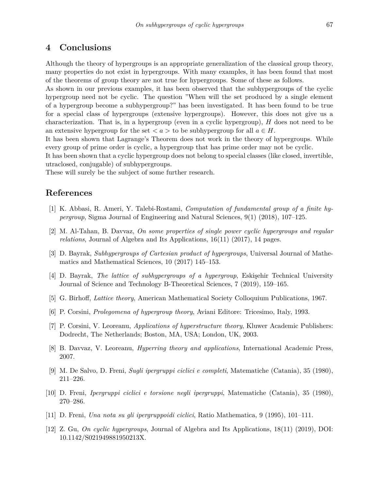# **4 Conclusions**

Although the theory of hypergroups is an appropriate generalization of the classical group theory, many properties do not exist in hypergroups. With many examples, it has been found that most of the theorems of group theory are not true for hypergroups. Some of these as follows.

As shown in our previous examples, it has been observed that the subhypergroups of the cyclic hypergroup need not be cyclic. The question "When will the set produced by a single element of a hypergroup become a subhypergroup?" has been investigated. It has been found to be true for a special class of hypergroups (extensive hypergroups). However, this does not give us a characterization. That is, in a hypergroup (even in a cyclic hypergroup), *H* does not need to be an extensive hypergroup for the set  $\langle a \rangle$  to be subhypergroup for all  $a \in H$ .

It has been shown that Lagrange's Theorem does not work in the theory of hypergroups. While every group of prime order is cyclic, a hypergroup that has prime order may not be cyclic.

It has been shown that a cyclic hypergroup does not belong to special classes (like closed, invertible, utraclosed, conjugable) of subhypergroups.

These will surely be the subject of some further research.

# **References**

- <span id="page-8-11"></span>[1] K. Abbasi, R. Ameri, Y. Talebi-Rostami, *Computation of fundamental group of a finite hypergroup*, Sigma Journal of Engineering and Natural Sciences, 9(1) (2018), 107–125.
- <span id="page-8-9"></span>[2] M. Al-Tahan, B. Davvaz, *On some properties of single power cyclic hypergroups and regular relations*, Journal of Algebra and Its Applications, 16(11) (2017), 14 pages.
- <span id="page-8-0"></span>[3] D. Bayrak, *Subhypergroups of Cartesian product of hypergroups*, Universal Journal of Mathematics and Mathematical Sciences, 10 (2017) 145–153.
- <span id="page-8-1"></span>[4] D. Bayrak, *The lattice of subhypergroups of a hypergroup*, Eskişehir Technical University Journal of Science and Technology B-Theoretical Sciences, 7 (2019), 159–165.
- <span id="page-8-10"></span>[5] G. Birhoff, *Lattice theory*, American Mathematical Society Colloquium Publications, 1967.
- <span id="page-8-4"></span>[6] P. Corsini, *Prolegomena of hypergroup theory*, Aviani Editore: Tricesimo, Italy, 1993.
- <span id="page-8-2"></span>[7] P. Corsini, V. Leoreanu, *Applications of hyperstructure theory*, Kluwer Academic Publishers: Dodrecht, The Netherlands; Boston, MA, USA; London, UK, 2003.
- <span id="page-8-3"></span>[8] B. Davvaz, V. Leoreanu, *Hyperring theory and applications*, International Academic Press, 2007.
- <span id="page-8-5"></span>[9] M. De Salvo, D. Freni, *Sugli ipergruppi ciclici e completi*, Matematiche (Catania), 35 (1980), 211–226.
- <span id="page-8-6"></span>[10] D. Freni, *Ipergruppi ciclici e torsione negli ipergruppi*, Matematiche (Catania), 35 (1980), 270–286.
- <span id="page-8-7"></span>[11] D. Freni, *Una nota su gli ipergruppoidi ciclici*, Ratio Mathematica, 9 (1995), 101–111.
- <span id="page-8-8"></span>[12] Z. Gu, *On cyclic hypergroups*, Journal of Algebra and Its Applications, 18(11) (2019), DOI: 10.1142/S021949881950213X.